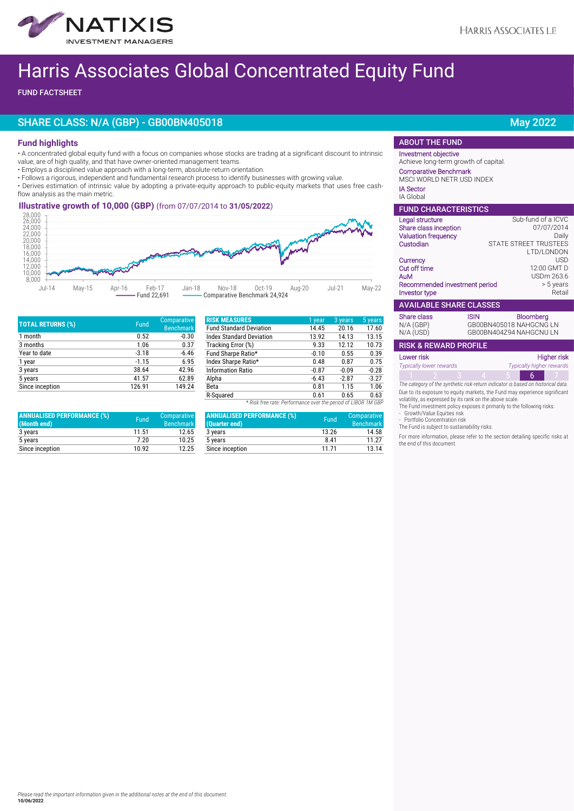

# Harris Associates Global Concentrated Equity Fund

FUND FACTSHEET

## SHARE CLASS: N/A (GBP) - GB00BN405018 May 2022

### **Fund highlights**

• A concentrated global equity fund with a focus on companies whose stocks are trading at a significant discount to intrinsic value, are of high quality, and that have owner-oriented management teams.

- Employs a disciplined value approach with a long-term, absolute-return orientation.
- Follows a rigorous, independent and fundamental research process to identify businesses with growing value.

• Derives estimation of intrinsic value by adopting a private-equity approach to public-equity markets that uses free cashflow analysis as the main metric.

## **- Illustrative growth of 10,000 (GBP)** (from 07/07/2014 to **31/05/2022**)



| <b>TOTAL RETURNS (%)</b> | Fund    | Comparative<br><b>Benchmark</b> |
|--------------------------|---------|---------------------------------|
| 1 month                  | 0.52    | $-0.30$                         |
| 3 months                 | 1.06    | 0.37                            |
| Year to date             | $-3.18$ | $-6.46$                         |
| 1 year                   | $-1.15$ | 6.95                            |
| 3 years                  | 38.64   | 42.96                           |
| 5 years                  | 41.57   | 62.89                           |
| Since inception          | 126.91  | 149.24                          |

| <b>ANNUALISED PERFORMANCE (%)</b><br>(Month end) | Fund  | Comparative<br><b>Benchmark</b> |
|--------------------------------------------------|-------|---------------------------------|
| 3 years                                          | 11.51 | 12.65                           |
| 5 years                                          | 7.20  | 10.25                           |
| Since inception                                  | 10 92 | 12.25                           |

| <b>RISK MEASURES</b>                                          | 1 year  | 3 years | 5 years |
|---------------------------------------------------------------|---------|---------|---------|
|                                                               |         |         |         |
| <b>Fund Standard Deviation</b>                                | 14.45   | 20.16   | 17.60   |
| <b>Index Standard Deviation</b>                               | 13.92   | 14.13   | 13.15   |
| Tracking Error (%)                                            | 9.33    | 12.12   | 10.73   |
| Fund Sharpe Ratio*                                            | $-0.10$ | 0.55    | 0.39    |
| Index Sharpe Ratio*                                           | 0.48    | 0.87    | 0.75    |
| <b>Information Ratio</b>                                      | $-0.87$ | $-0.09$ | $-0.28$ |
| Alpha                                                         | $-6.43$ | $-2.87$ | $-3.27$ |
| Beta                                                          | 0.81    | 1.15    | 1.06    |
| R-Squared                                                     | 0.61    | 0.65    | 0.63    |
| * Risk free rate: Performance over the period of LIBOR 1M GBP |         |         |         |

| <b>ANNUALISED PERFORMANCE (%)</b><br>(Quarter end) | Fund  | Comparative<br><b>Benchmark</b> |
|----------------------------------------------------|-------|---------------------------------|
| 3 years                                            | 13.26 | 14.58                           |
| 5 years                                            | 8.41  | 11 27                           |
| Since inception                                    | 11 71 | 13 14                           |

### ABOUT THE FUND

#### Investment objective Achieve long-term growth of capital.

 Comparative Benchmark MSCI WORLD NETR USD INDEX

# IA Sector

IA Global

| <b>FUND CHARACTERISTICS</b>    |             |                                             |  |  |
|--------------------------------|-------------|---------------------------------------------|--|--|
| Legal structure                |             | Sub-fund of a ICVC                          |  |  |
| Share class inception          |             | 07/07/2014                                  |  |  |
| <b>Valuation frequency</b>     |             | Daily                                       |  |  |
| Custodian                      |             | <b>STATE STREET TRUSTEES</b>                |  |  |
|                                |             | LTD/LONDON                                  |  |  |
| Currency                       |             | <b>USD</b>                                  |  |  |
| Cut off time                   |             | 12:00 GMT D                                 |  |  |
| AuM                            |             | USDm 263.6                                  |  |  |
| Recommended investment period  |             | > 5 years                                   |  |  |
| <b>Investor type</b>           |             | Retail                                      |  |  |
| <b>AVAILABLE SHARE CLASSES</b> |             |                                             |  |  |
| Share class<br>$N/A$ (GBP)     | <b>ISIN</b> | <b>Bloomberg</b><br>GB00BN405018 NAHGCNG LN |  |  |

| N/A (USD)                        | GB00BN404Z94 NAHGCNU LN |  |  |
|----------------------------------|-------------------------|--|--|
| <b>RISK &amp; REWARD PROFILE</b> |                         |  |  |
| Lower risk                       | Higher risk             |  |  |
|                                  |                         |  |  |

| Typically lower rewards |  |                                                                                 |  | Typically higher rewards |
|-------------------------|--|---------------------------------------------------------------------------------|--|--------------------------|
|                         |  |                                                                                 |  |                          |
|                         |  | The category of the synthetic risk-return indicator is hased on historical data |  |                          |

*The category of the synthetic risk-return indicator is based on historical data.* Due to its exposure to equity markets, the Fund may experience significant

volatility, as expressed by its rank on the above scale. The Fund investment policy exposes it primarily to the following risks: - Growth/Value Equities risk

- Portfolio Concentration risk

The Fund is subject to sustainability risks.

For more information, please refer to the section detailing specific risks at the end of this document.